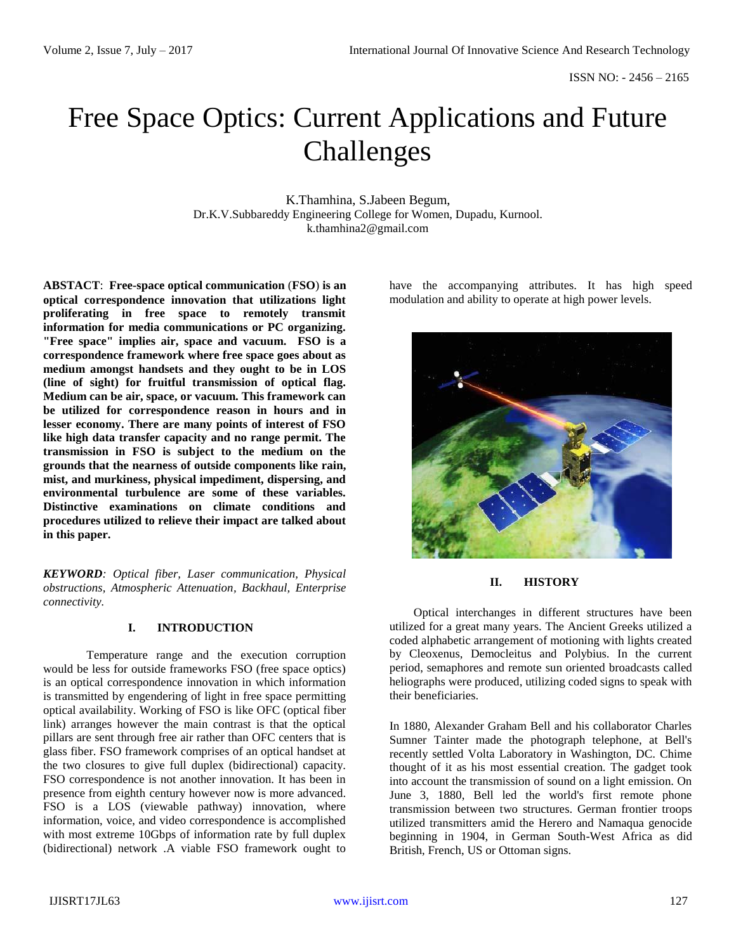# Free Space Optics: Current Applications and Future Challenges

K.Thamhina, S.Jabeen Begum, Dr.K.V.Subbareddy Engineering College for Women, Dupadu, Kurnool. k.thamhina2@gmail.com

**ABSTACT**: **Free-space optical communication** (**FSO**) **is an optical correspondence innovation that utilizations light proliferating in free space to remotely transmit information for media communications or PC organizing. "Free space" implies air, space and vacuum. FSO is a correspondence framework where free space goes about as medium amongst handsets and they ought to be in LOS (line of sight) for fruitful transmission of optical flag. Medium can be air, space, or vacuum. This framework can be utilized for correspondence reason in hours and in lesser economy. There are many points of interest of FSO like high data transfer capacity and no range permit. The transmission in FSO is subject to the medium on the grounds that the nearness of outside components like rain, mist, and murkiness, physical impediment, dispersing, and environmental turbulence are some of these variables. Distinctive examinations on climate conditions and procedures utilized to relieve their impact are talked about in this paper.**

*KEYWORD: Optical fiber, Laser communication, Physical obstructions, Atmospheric Attenuation, Backhaul, Enterprise connectivity.*

# **I. INTRODUCTION**

Temperature range and the execution corruption would be less for outside frameworks FSO (free space optics) is an optical correspondence innovation in which information is transmitted by engendering of light in free space permitting optical availability. Working of FSO is like OFC (optical fiber link) arranges however the main contrast is that the optical pillars are sent through free air rather than OFC centers that is glass fiber. FSO framework comprises of an optical handset at the two closures to give full duplex (bidirectional) capacity. FSO correspondence is not another innovation. It has been in presence from eighth century however now is more advanced. FSO is a LOS (viewable pathway) innovation, where information, voice, and video correspondence is accomplished with most extreme 10Gbps of information rate by full duplex (bidirectional) network .A viable FSO framework ought to have the accompanying attributes. It has high speed modulation and ability to operate at high power levels.



## **II. HISTORY**

Optical interchanges in different structures have been utilized for a great many years. The Ancient Greeks utilized a coded alphabetic arrangement of motioning with lights created by Cleoxenus, Democleitus and Polybius. In the current period, semaphores and remote sun oriented broadcasts called heliographs were produced, utilizing coded signs to speak with their beneficiaries.

In 1880, Alexander Graham Bell and his collaborator Charles Sumner Tainter made the photograph telephone, at Bell's recently settled Volta Laboratory in Washington, DC. Chime thought of it as his most essential creation. The gadget took into account the transmission of sound on a light emission. On June 3, 1880, Bell led the world's first remote phone transmission between two structures. German frontier troops utilized transmitters amid the Herero and Namaqua genocide beginning in 1904, in German South-West Africa as did British, French, US or Ottoman signs.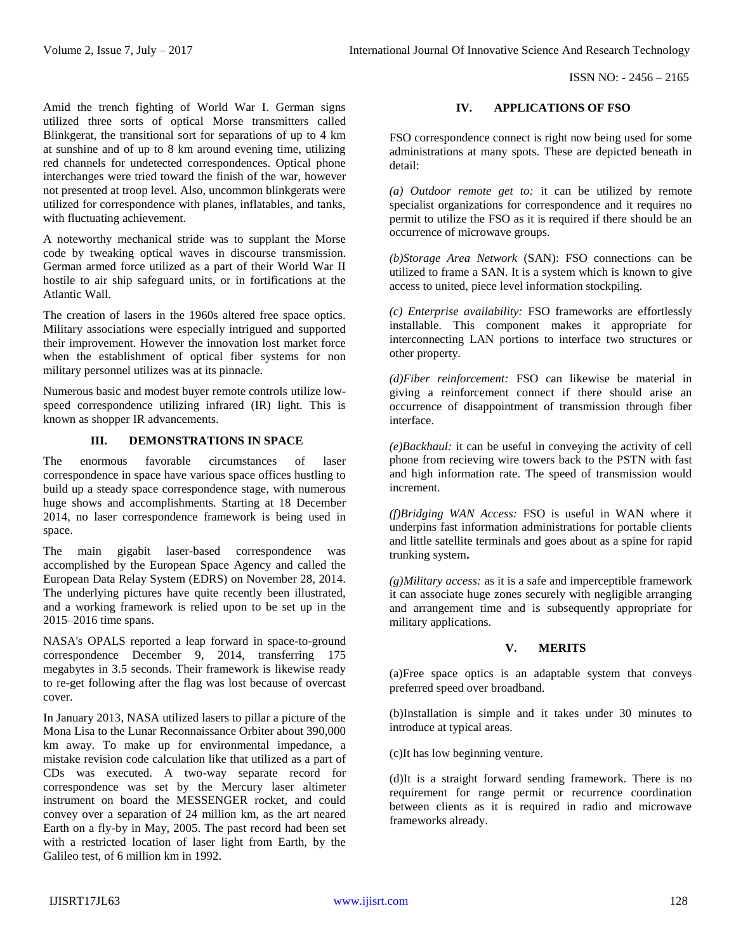ISSN NO: - 2456 – 2165

Amid the trench fighting of World War I. German signs utilized three sorts of optical Morse transmitters called Blinkgerat, the transitional sort for separations of up to 4 km at sunshine and of up to 8 km around evening time, utilizing red channels for undetected correspondences. Optical phone interchanges were tried toward the finish of the war, however not presented at troop level. Also, uncommon blinkgerats were utilized for correspondence with planes, inflatables, and tanks, with fluctuating achievement.

A noteworthy mechanical stride was to supplant the Morse code by tweaking optical waves in discourse transmission. German armed force utilized as a part of their World War II hostile to air ship safeguard units, or in fortifications at the Atlantic Wall.

The creation of lasers in the 1960s altered free space optics. Military associations were especially intrigued and supported their improvement. However the innovation lost market force when the establishment of optical fiber systems for non military personnel utilizes was at its pinnacle.

Numerous basic and modest buyer remote controls utilize lowspeed correspondence utilizing infrared (IR) light. This is known as shopper IR advancements.

#### **III. DEMONSTRATIONS IN SPACE**

The enormous favorable circumstances of laser correspondence in space have various space offices hustling to build up a steady space correspondence stage, with numerous huge shows and accomplishments. Starting at 18 December 2014, no laser correspondence framework is being used in space.

The main gigabit laser-based correspondence was accomplished by the European Space Agency and called the European Data Relay System (EDRS) on November 28, 2014. The underlying pictures have quite recently been illustrated, and a working framework is relied upon to be set up in the 2015–2016 time spans.

NASA's OPALS reported a leap forward in space-to-ground correspondence December 9, 2014, transferring 175 megabytes in 3.5 seconds. Their framework is likewise ready to re-get following after the flag was lost because of overcast cover.

In January 2013, NASA utilized lasers to pillar a picture of the Mona Lisa to the Lunar Reconnaissance Orbiter about 390,000 km away. To make up for environmental impedance, a mistake revision code calculation like that utilized as a part of CDs was executed. A two-way separate record for correspondence was set by the Mercury laser altimeter instrument on board the MESSENGER rocket, and could convey over a separation of 24 million km, as the art neared Earth on a fly-by in May, 2005. The past record had been set with a restricted location of laser light from Earth, by the Galileo test, of 6 million km in 1992.

## **IV. APPLICATIONS OF FSO**

FSO correspondence connect is right now being used for some administrations at many spots. These are depicted beneath in detail:

*(a) Outdoor remote get to:* it can be utilized by remote specialist organizations for correspondence and it requires no permit to utilize the FSO as it is required if there should be an occurrence of microwave groups.

*(b)Storage Area Network* (SAN): FSO connections can be utilized to frame a SAN. It is a system which is known to give access to united, piece level information stockpiling.

*(c) Enterprise availability:* FSO frameworks are effortlessly installable. This component makes it appropriate for interconnecting LAN portions to interface two structures or other property.

*(d)Fiber reinforcement:* FSO can likewise be material in giving a reinforcement connect if there should arise an occurrence of disappointment of transmission through fiber interface.

*(e)Backhaul:* it can be useful in conveying the activity of cell phone from recieving wire towers back to the PSTN with fast and high information rate. The speed of transmission would increment.

*(f)Bridging WAN Access:* FSO is useful in WAN where it underpins fast information administrations for portable clients and little satellite terminals and goes about as a spine for rapid trunking system**.**

*(g)Military access:* as it is a safe and imperceptible framework it can associate huge zones securely with negligible arranging and arrangement time and is subsequently appropriate for military applications.

## **V. MERITS**

(a)Free space optics is an adaptable system that conveys preferred speed over broadband.

(b)Installation is simple and it takes under 30 minutes to introduce at typical areas.

(c)It has low beginning venture.

(d)It is a straight forward sending framework. There is no requirement for range permit or recurrence coordination between clients as it is required in radio and microwave frameworks already.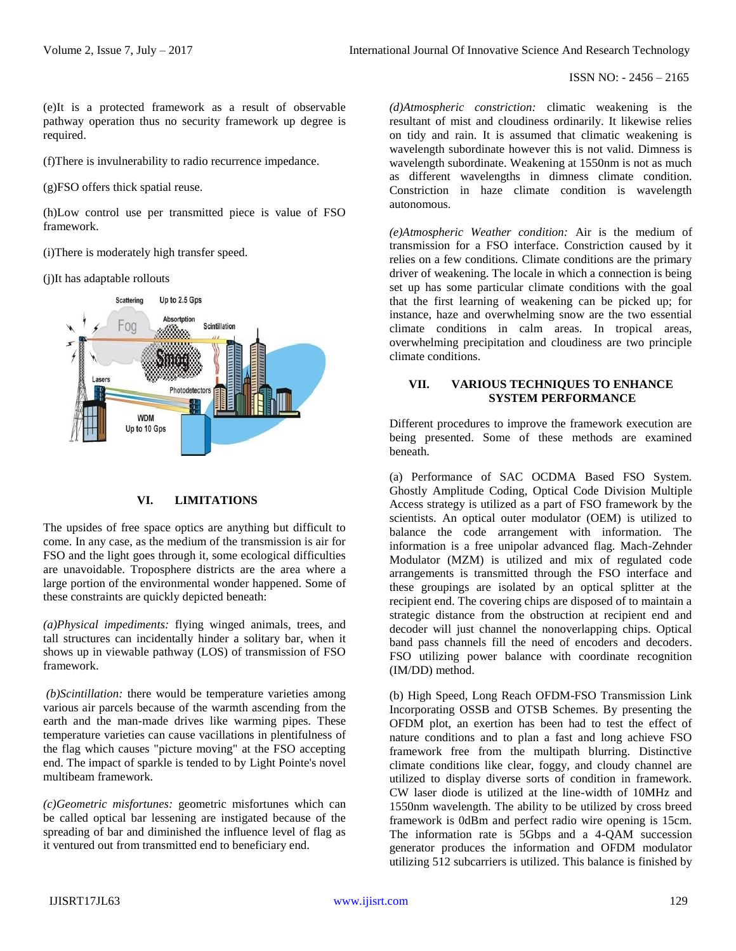(e)It is a protected framework as a result of observable pathway operation thus no security framework up degree is required.

(f)There is invulnerability to radio recurrence impedance.

(g)FSO offers thick spatial reuse.

(h)Low control use per transmitted piece is value of FSO framework.

(i)There is moderately high transfer speed.

(j)It has adaptable rollouts



#### **VI. LIMITATIONS**

The upsides of free space optics are anything but difficult to come. In any case, as the medium of the transmission is air for FSO and the light goes through it, some ecological difficulties are unavoidable. Troposphere districts are the area where a large portion of the environmental wonder happened. Some of these constraints are quickly depicted beneath:

*(a)Physical impediments:* flying winged animals, trees, and tall structures can incidentally hinder a solitary bar, when it shows up in viewable pathway (LOS) of transmission of FSO framework.

*(b)Scintillation:* there would be temperature varieties among various air parcels because of the warmth ascending from the earth and the man-made drives like warming pipes. These temperature varieties can cause vacillations in plentifulness of the flag which causes "picture moving" at the FSO accepting end. The impact of sparkle is tended to by Light Pointe's novel multibeam framework.

*(c)Geometric misfortunes:* geometric misfortunes which can be called optical bar lessening are instigated because of the spreading of bar and diminished the influence level of flag as it ventured out from transmitted end to beneficiary end.

*(d)Atmospheric constriction:* climatic weakening is the resultant of mist and cloudiness ordinarily. It likewise relies on tidy and rain. It is assumed that climatic weakening is wavelength subordinate however this is not valid. Dimness is wavelength subordinate. Weakening at 1550nm is not as much as different wavelengths in dimness climate condition. Constriction in haze climate condition is wavelength autonomous.

*(e)Atmospheric Weather condition:* Air is the medium of transmission for a FSO interface. Constriction caused by it relies on a few conditions. Climate conditions are the primary driver of weakening. The locale in which a connection is being set up has some particular climate conditions with the goal that the first learning of weakening can be picked up; for instance, haze and overwhelming snow are the two essential climate conditions in calm areas. In tropical areas, overwhelming precipitation and cloudiness are two principle climate conditions.

#### **VII. VARIOUS TECHNIQUES TO ENHANCE SYSTEM PERFORMANCE**

Different procedures to improve the framework execution are being presented. Some of these methods are examined beneath.

(a) Performance of SAC OCDMA Based FSO System. Ghostly Amplitude Coding, Optical Code Division Multiple Access strategy is utilized as a part of FSO framework by the scientists. An optical outer modulator (OEM) is utilized to balance the code arrangement with information. The information is a free unipolar advanced flag. Mach-Zehnder Modulator (MZM) is utilized and mix of regulated code arrangements is transmitted through the FSO interface and these groupings are isolated by an optical splitter at the recipient end. The covering chips are disposed of to maintain a strategic distance from the obstruction at recipient end and decoder will just channel the nonoverlapping chips. Optical band pass channels fill the need of encoders and decoders. FSO utilizing power balance with coordinate recognition (IM/DD) method.

(b) High Speed, Long Reach OFDM-FSO Transmission Link Incorporating OSSB and OTSB Schemes. By presenting the OFDM plot, an exertion has been had to test the effect of nature conditions and to plan a fast and long achieve FSO framework free from the multipath blurring. Distinctive climate conditions like clear, foggy, and cloudy channel are utilized to display diverse sorts of condition in framework. CW laser diode is utilized at the line-width of 10MHz and 1550nm wavelength. The ability to be utilized by cross breed framework is 0dBm and perfect radio wire opening is 15cm. The information rate is 5Gbps and a 4-QAM succession generator produces the information and OFDM modulator utilizing 512 subcarriers is utilized. This balance is finished by